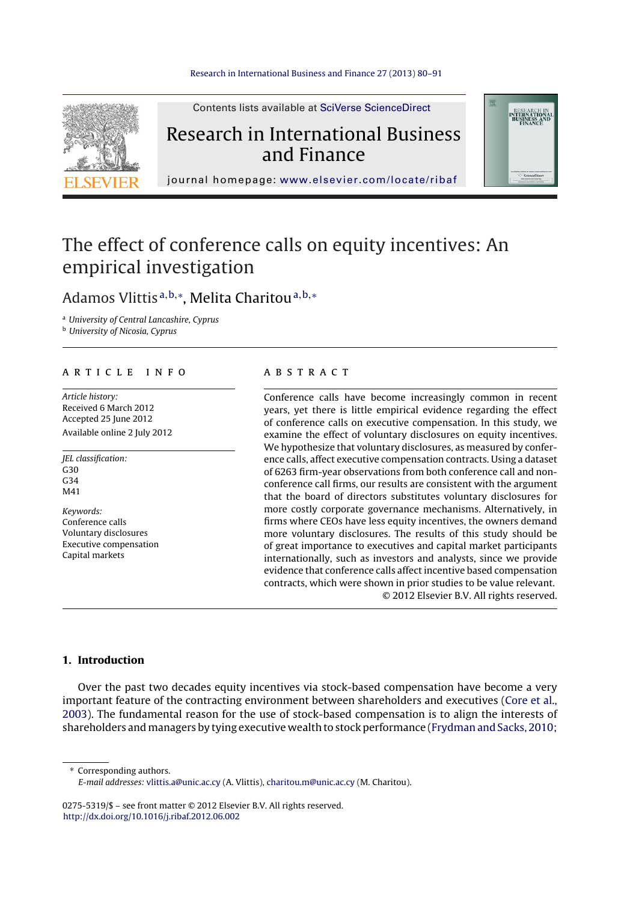

Contents lists available at SciVerse [ScienceDirect](http://www.sciencedirect.com/science/journal/02755319)

## Research in International Business and Finance



journal homepage: [www.elsevier.com/locate/ribaf](http://www.elsevier.com/locate/ribaf)

# The effect of conference calls on equity incentives: An empirical investigation

### Adamos Vlittis <sup>a,b,</sup>\*, Melita Charitou <sup>a,b,</sup>\*

<sup>a</sup> University of Central Lancashire, Cyprus

**b** University of Nicosia, Cyprus

#### a r t i c l e i n f o

Article history: Received 6 March 2012 Accepted 25 June 2012 Available online 2 July 2012

JEL classification: G<sub>30</sub>  $C<sub>34</sub>$ M41

Keywords: Conference calls Voluntary disclosures Executive compensation Capital markets

#### a b s t r a c t

Conference calls have become increasingly common in recent years, yet there is little empirical evidence regarding the effect of conference calls on executive compensation. In this study, we examine the effect of voluntary disclosures on equity incentives. We hypothesize that voluntary disclosures, as measured by conference calls, affect executive compensation contracts. Using a dataset of 6263 firm-year observations from both conference call and nonconference call firms, our results are consistent with the argument that the board of directors substitutes voluntary disclosures for more costly corporate governance mechanisms. Alternatively, in firms where CEOs have less equity incentives, the owners demand more voluntary disclosures. The results of this study should be of great importance to executives and capital market participants internationally, such as investors and analysts, since we provide evidence that conference calls affect incentive based compensation contracts, which were shown in prior studies to be value relevant. © 2012 Elsevier B.V. All rights reserved.

#### **1. Introduction**

Over the past two decades equity incentives via stock-based compensation have become a very important feature of the contracting environment between shareholders and executives [\(Core](#page--1-0) et [al.,](#page--1-0) [2003\).](#page--1-0) The fundamental reason for the use of stock-based compensation is to align the interests of shareholders andmanagers by tying executive wealth to stock performance [\(Frydman](#page--1-0) [and](#page--1-0) [Sacks,](#page--1-0) [2010;](#page--1-0)

∗ Corresponding authors. E-mail addresses: [vlittis.a@unic.ac.cy](mailto:vlittis.a@unic.ac.cy) (A. Vlittis), [charitou.m@unic.ac.cy](mailto:charitou.m@unic.ac.cy) (M. Charitou).

0275-5319/\$ – see front matter © 2012 Elsevier B.V. All rights reserved. [http://dx.doi.org/10.1016/j.ribaf.2012.06.002](dx.doi.org/10.1016/j.ribaf.2012.06.002)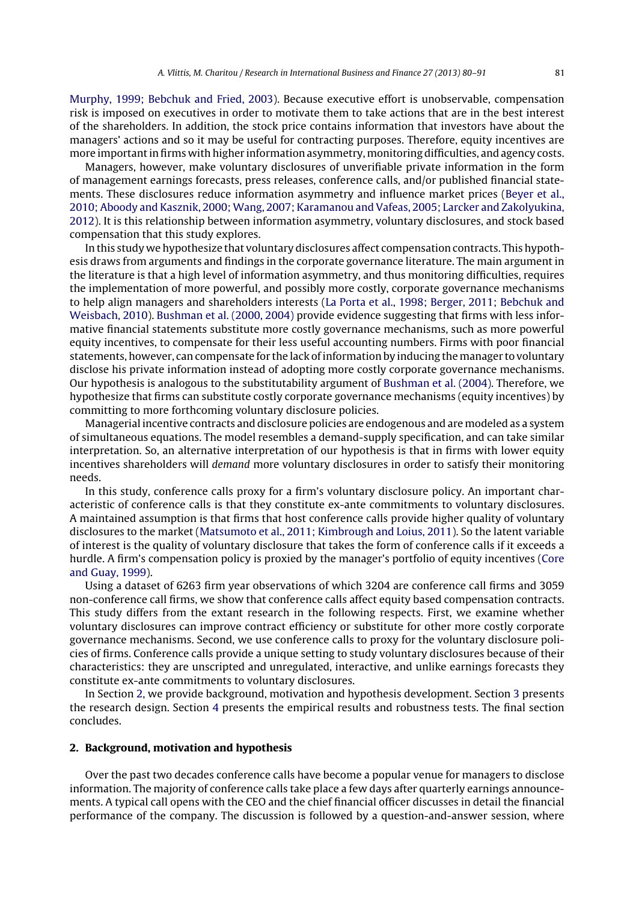[Murphy,](#page--1-0) [1999;](#page--1-0) [Bebchuk](#page--1-0) [and](#page--1-0) [Fried,](#page--1-0) [2003\).](#page--1-0) Because executive effort is unobservable, compensation risk is imposed on executives in order to motivate them to take actions that are in the best interest of the shareholders. In addition, the stock price contains information that investors have about the managers' actions and so it may be useful for contracting purposes. Therefore, equity incentives are more important in firms with higher information asymmetry, monitoring difficulties, and agency costs.

Managers, however, make voluntary disclosures of unverifiable private information in the form of management earnings forecasts, press releases, conference calls, and/or published financial statements. These disclosures reduce information asymmetry and influence market prices [\(Beyer](#page--1-0) et [al.,](#page--1-0) [2010;](#page--1-0) [Aboody](#page--1-0) [and](#page--1-0) [Kasznik,](#page--1-0) [2000;](#page--1-0) [Wang,](#page--1-0) [2007;](#page--1-0) [Karamanou](#page--1-0) [and](#page--1-0) [Vafeas,](#page--1-0) [2005;](#page--1-0) [Larcker](#page--1-0) [and](#page--1-0) [Zakolyukina,](#page--1-0) [2012\).](#page--1-0) It is this relationship between information asymmetry, voluntary disclosures, and stock based compensation that this study explores.

In this study we hypothesize that voluntary disclosures affect compensation contracts. This hypothesis draws from arguments and findings in the corporate governance literature. The main argument in the literature is that a high level of information asymmetry, and thus monitoring difficulties, requires the implementation of more powerful, and possibly more costly, corporate governance mechanisms to help align managers and shareholders interests [\(La](#page--1-0) [Porta](#page--1-0) et [al.,](#page--1-0) [1998;](#page--1-0) [Berger,](#page--1-0) [2011;](#page--1-0) [Bebchuk](#page--1-0) [and](#page--1-0) [Weisbach,](#page--1-0) [2010\).](#page--1-0) [Bushman](#page--1-0) et [al.](#page--1-0) [\(2000,](#page--1-0) [2004\)](#page--1-0) provide evidence suggesting that firms with less informative financial statements substitute more costly governance mechanisms, such as more powerful equity incentives, to compensate for their less useful accounting numbers. Firms with poor financial statements, however, can compensate for the lack ofinformation by inducing the manager to voluntary disclose his private information instead of adopting more costly corporate governance mechanisms. Our hypothesis is analogous to the substitutability argument of [Bushman](#page--1-0) et [al.](#page--1-0) [\(2004\).](#page--1-0) Therefore, we hypothesize that firms can substitute costly corporate governance mechanisms (equity incentives) by committing to more forthcoming voluntary disclosure policies.

Managerial incentive contracts and disclosure policies are endogenous and are modeled as a system of simultaneous equations. The model resembles a demand-supply specification, and can take similar interpretation. So, an alternative interpretation of our hypothesis is that in firms with lower equity incentives shareholders will demand more voluntary disclosures in order to satisfy their monitoring needs.

In this study, conference calls proxy for a firm's voluntary disclosure policy. An important characteristic of conference calls is that they constitute ex-ante commitments to voluntary disclosures. A maintained assumption is that firms that host conference calls provide higher quality of voluntary disclosures to the market ([Matsumoto](#page--1-0) et [al.,](#page--1-0) [2011;](#page--1-0) [Kimbrough](#page--1-0) [and](#page--1-0) [Loius,](#page--1-0) [2011\).](#page--1-0) So the latent variable of interest is the quality of voluntary disclosure that takes the form of conference calls if it exceeds a hurdle. A firm's compensation policy is proxied by the manager's portfolio of equity incentives ([Core](#page--1-0) [and](#page--1-0) [Guay,](#page--1-0) [1999\).](#page--1-0)

Using a dataset of 6263 firm year observations of which 3204 are conference call firms and 3059 non-conference call firms, we show that conference calls affect equity based compensation contracts. This study differs from the extant research in the following respects. First, we examine whether voluntary disclosures can improve contract efficiency or substitute for other more costly corporate governance mechanisms. Second, we use conference calls to proxy for the voluntary disclosure policies of firms. Conference calls provide a unique setting to study voluntary disclosures because of their characteristics: they are unscripted and unregulated, interactive, and unlike earnings forecasts they constitute ex-ante commitments to voluntary disclosures.

In Section 2, we provide background, motivation and hypothesis development. Section [3](#page--1-0) presents the research design. Section [4](#page--1-0) presents the empirical results and robustness tests. The final section concludes.

#### **2. Background, motivation and hypothesis**

Over the past two decades conference calls have become a popular venue for managers to disclose information. The majority of conference calls take place a few days after quarterly earnings announcements. A typical call opens with the CEO and the chief financial officer discusses in detail the financial performance of the company. The discussion is followed by a question-and-answer session, where